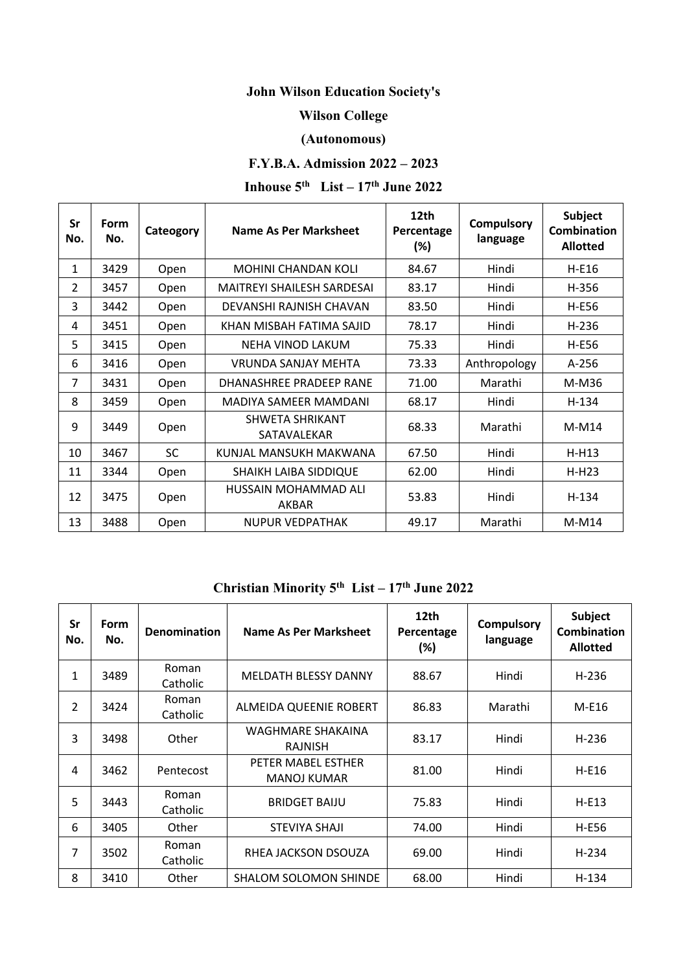# **John Wilson Education Society's**

#### **Wilson College**

#### **(Autonomous)**

### **F.Y.B.A. Admission 2022 – 2023**

# **Inhouse 5<sup>th</sup> List** –  $17$ <sup>th</sup> **June** 2022

| Sr<br>No.     | Form<br>No. | Cateogory | Name As Per Marksheet                 | 12th<br>Percentage<br>(%) | <b>Compulsory</b><br>language | <b>Subject</b><br><b>Combination</b><br><b>Allotted</b> |
|---------------|-------------|-----------|---------------------------------------|---------------------------|-------------------------------|---------------------------------------------------------|
| 1             | 3429        | Open      | <b>MOHINI CHANDAN KOLI</b>            | 84.67                     | Hindi                         | H-E16                                                   |
| $\mathcal{P}$ | 3457        | Open      | <b>MAITREYI SHAILESH SARDESAI</b>     | 83.17                     | Hindi                         | H-356                                                   |
| 3             | 3442        | Open      | DEVANSHI RAJNISH CHAVAN               | 83.50                     | Hindi                         | H-E56                                                   |
| 4             | 3451        | Open      | KHAN MISBAH FATIMA SAJID              | 78.17                     | Hindi                         | H-236                                                   |
| 5             | 3415        | Open      | NEHA VINOD LAKUM                      | 75.33                     | Hindi                         | H-E56                                                   |
| 6             | 3416        | Open      | VRUNDA SANJAY MEHTA                   | 73.33                     | Anthropology                  | A-256                                                   |
| 7             | 3431        | Open      | DHANASHREE PRADEEP RANE               | 71.00                     | Marathi                       | M-M36                                                   |
| 8             | 3459        | Open      | MADIYA SAMEER MAMDANI                 | 68.17                     | Hindi                         | H-134                                                   |
| 9             | 3449        | Open      | <b>SHWETA SHRIKANT</b><br>SATAVALEKAR | 68.33                     | Marathi                       | M-M14                                                   |
| 10            | 3467        | <b>SC</b> | KUNJAL MANSUKH MAKWANA                | 67.50                     | Hindi                         | $H-H13$                                                 |
| 11            | 3344        | Open      | SHAIKH LAIBA SIDDIQUE                 | 62.00                     | Hindi                         | $H-H23$                                                 |
| 12            | 3475        | Open      | HUSSAIN MOHAMMAD ALI<br>AKBAR         | 53.83                     | Hindi                         | H-134                                                   |
| 13            | 3488        | Open      | <b>NUPUR VEDPATHAK</b>                | 49.17                     | Marathi                       | M-M14                                                   |

## **Christian Minority 5th List – 17th June 2022**

| Sr<br>No.                | <b>Form</b><br>No. | <b>Denomination</b> | Name As Per Marksheet                    | 12th<br>Percentage<br>(%) | <b>Compulsory</b><br>language | <b>Subject</b><br><b>Combination</b><br><b>Allotted</b> |
|--------------------------|--------------------|---------------------|------------------------------------------|---------------------------|-------------------------------|---------------------------------------------------------|
| 1                        | 3489               | Roman<br>Catholic   | <b>MELDATH BLESSY DANNY</b>              | 88.67                     | Hindi                         | $H-236$                                                 |
| $\overline{\phantom{a}}$ | 3424               | Roman<br>Catholic   | ALMEIDA QUEENIE ROBERT                   | 86.83                     | Marathi                       | M-E16                                                   |
| 3                        | 3498               | Other               | WAGHMARE SHAKAINA<br><b>RAJNISH</b>      | 83.17                     | Hindi                         | $H-236$                                                 |
| 4                        | 3462               | Pentecost           | PETER MABEL ESTHER<br><b>MANOJ KUMAR</b> | 81.00                     | Hindi                         | H-E16                                                   |
| 5                        | 3443               | Roman<br>Catholic   | <b>BRIDGET BAIJU</b>                     | 75.83                     | Hindi                         | $H-E13$                                                 |
| 6                        | 3405               | Other               | STEVIYA SHAJI                            | 74.00                     | Hindi                         | H-E56                                                   |
| 7                        | 3502               | Roman<br>Catholic   | RHEA JACKSON DSOUZA                      | 69.00                     | Hindi                         | $H-234$                                                 |
| 8                        | 3410               | Other               | <b>SHALOM SOLOMON SHINDE</b>             | 68.00                     | Hindi                         | H-134                                                   |